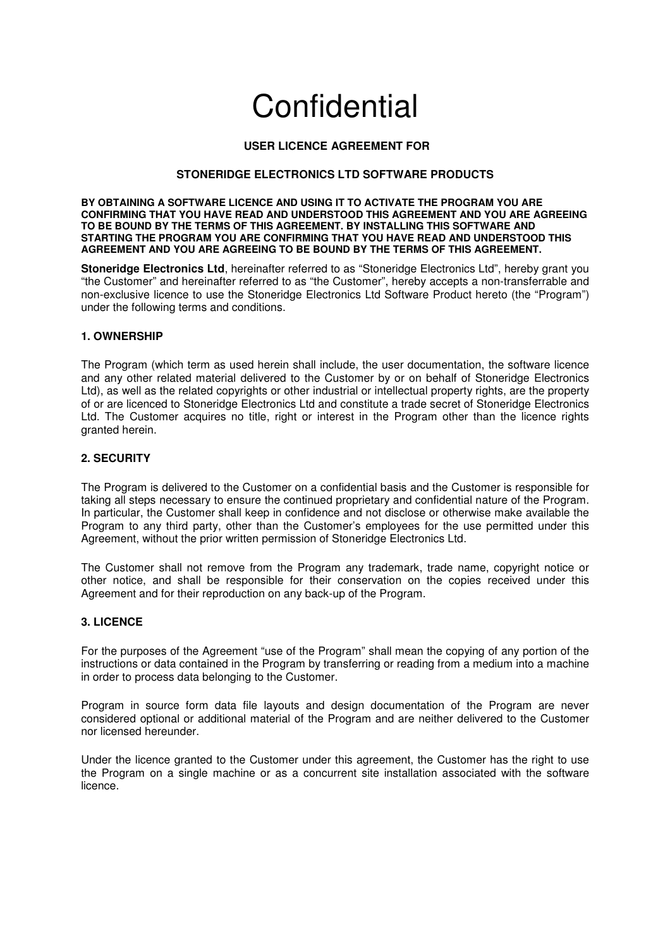# **Confidential**

## **USER LICENCE AGREEMENT FOR**

## **STONERIDGE ELECTRONICS LTD SOFTWARE PRODUCTS**

**BY OBTAINING A SOFTWARE LICENCE AND USING IT TO ACTIVATE THE PROGRAM YOU ARE CONFIRMING THAT YOU HAVE READ AND UNDERSTOOD THIS AGREEMENT AND YOU ARE AGREEING TO BE BOUND BY THE TERMS OF THIS AGREEMENT. BY INSTALLING THIS SOFTWARE AND STARTING THE PROGRAM YOU ARE CONFIRMING THAT YOU HAVE READ AND UNDERSTOOD THIS AGREEMENT AND YOU ARE AGREEING TO BE BOUND BY THE TERMS OF THIS AGREEMENT.**

**Stoneridge Electronics Ltd**, hereinafter referred to as "Stoneridge Electronics Ltd", hereby grant you "the Customer" and hereinafter referred to as "the Customer", hereby accepts a non-transferrable and non-exclusive licence to use the Stoneridge Electronics Ltd Software Product hereto (the "Program") under the following terms and conditions.

## **1. OWNERSHIP**

The Program (which term as used herein shall include, the user documentation, the software licence and any other related material delivered to the Customer by or on behalf of Stoneridge Electronics Ltd), as well as the related copyrights or other industrial or intellectual property rights, are the property of or are licenced to Stoneridge Electronics Ltd and constitute a trade secret of Stoneridge Electronics Ltd. The Customer acquires no title, right or interest in the Program other than the licence rights granted herein.

## **2. SECURITY**

The Program is delivered to the Customer on a confidential basis and the Customer is responsible for taking all steps necessary to ensure the continued proprietary and confidential nature of the Program. In particular, the Customer shall keep in confidence and not disclose or otherwise make available the Program to any third party, other than the Customer's employees for the use permitted under this Agreement, without the prior written permission of Stoneridge Electronics Ltd.

The Customer shall not remove from the Program any trademark, trade name, copyright notice or other notice, and shall be responsible for their conservation on the copies received under this Agreement and for their reproduction on any back-up of the Program.

#### **3. LICENCE**

For the purposes of the Agreement "use of the Program" shall mean the copying of any portion of the instructions or data contained in the Program by transferring or reading from a medium into a machine in order to process data belonging to the Customer.

Program in source form data file layouts and design documentation of the Program are never considered optional or additional material of the Program and are neither delivered to the Customer nor licensed hereunder.

Under the licence granted to the Customer under this agreement, the Customer has the right to use the Program on a single machine or as a concurrent site installation associated with the software licence.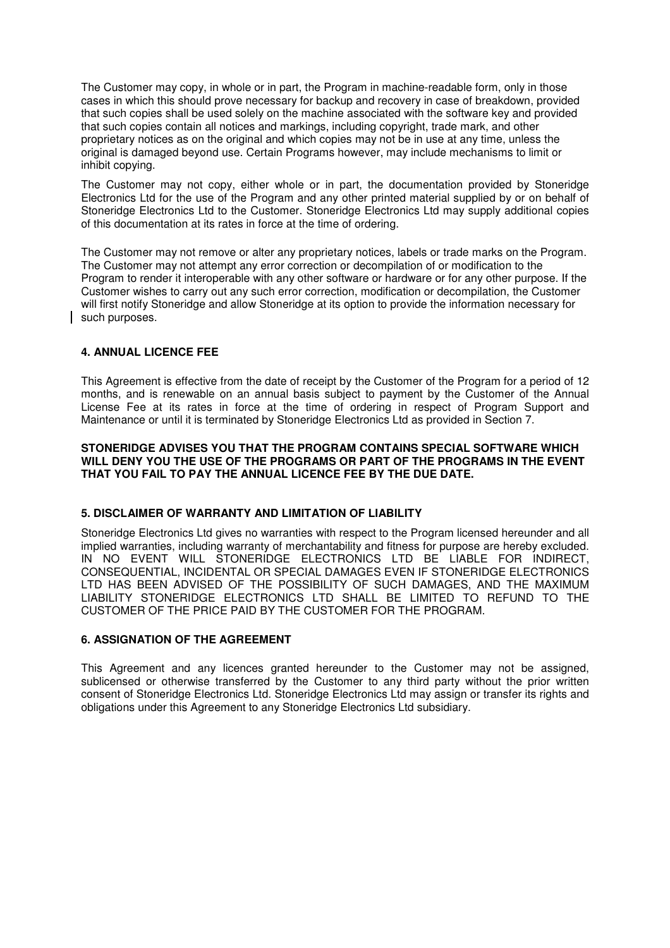The Customer may copy, in whole or in part, the Program in machine-readable form, only in those cases in which this should prove necessary for backup and recovery in case of breakdown, provided that such copies shall be used solely on the machine associated with the software key and provided that such copies contain all notices and markings, including copyright, trade mark, and other proprietary notices as on the original and which copies may not be in use at any time, unless the original is damaged beyond use. Certain Programs however, may include mechanisms to limit or inhibit copying.

The Customer may not copy, either whole or in part, the documentation provided by Stoneridge Electronics Ltd for the use of the Program and any other printed material supplied by or on behalf of Stoneridge Electronics Ltd to the Customer. Stoneridge Electronics Ltd may supply additional copies of this documentation at its rates in force at the time of ordering.

The Customer may not remove or alter any proprietary notices, labels or trade marks on the Program. The Customer may not attempt any error correction or decompilation of or modification to the Program to render it interoperable with any other software or hardware or for any other purpose. If the Customer wishes to carry out any such error correction, modification or decompilation, the Customer will first notify Stoneridge and allow Stoneridge at its option to provide the information necessary for such purposes.

## **4. ANNUAL LICENCE FEE**

This Agreement is effective from the date of receipt by the Customer of the Program for a period of 12 months, and is renewable on an annual basis subject to payment by the Customer of the Annual License Fee at its rates in force at the time of ordering in respect of Program Support and Maintenance or until it is terminated by Stoneridge Electronics Ltd as provided in Section 7.

## **STONERIDGE ADVISES YOU THAT THE PROGRAM CONTAINS SPECIAL SOFTWARE WHICH WILL DENY YOU THE USE OF THE PROGRAMS OR PART OF THE PROGRAMS IN THE EVENT THAT YOU FAIL TO PAY THE ANNUAL LICENCE FEE BY THE DUE DATE.**

## **5. DISCLAIMER OF WARRANTY AND LIMITATION OF LIABILITY**

Stoneridge Electronics Ltd gives no warranties with respect to the Program licensed hereunder and all implied warranties, including warranty of merchantability and fitness for purpose are hereby excluded. IN NO EVENT WILL STONERIDGE ELECTRONICS LTD BE LIABLE FOR INDIRECT, CONSEQUENTIAL, INCIDENTAL OR SPECIAL DAMAGES EVEN IF STONERIDGE ELECTRONICS LTD HAS BEEN ADVISED OF THE POSSIBILITY OF SUCH DAMAGES, AND THE MAXIMUM LIABILITY STONERIDGE ELECTRONICS LTD SHALL BE LIMITED TO REFUND TO THE CUSTOMER OF THE PRICE PAID BY THE CUSTOMER FOR THE PROGRAM.

#### **6. ASSIGNATION OF THE AGREEMENT**

This Agreement and any licences granted hereunder to the Customer may not be assigned, sublicensed or otherwise transferred by the Customer to any third party without the prior written consent of Stoneridge Electronics Ltd. Stoneridge Electronics Ltd may assign or transfer its rights and obligations under this Agreement to any Stoneridge Electronics Ltd subsidiary.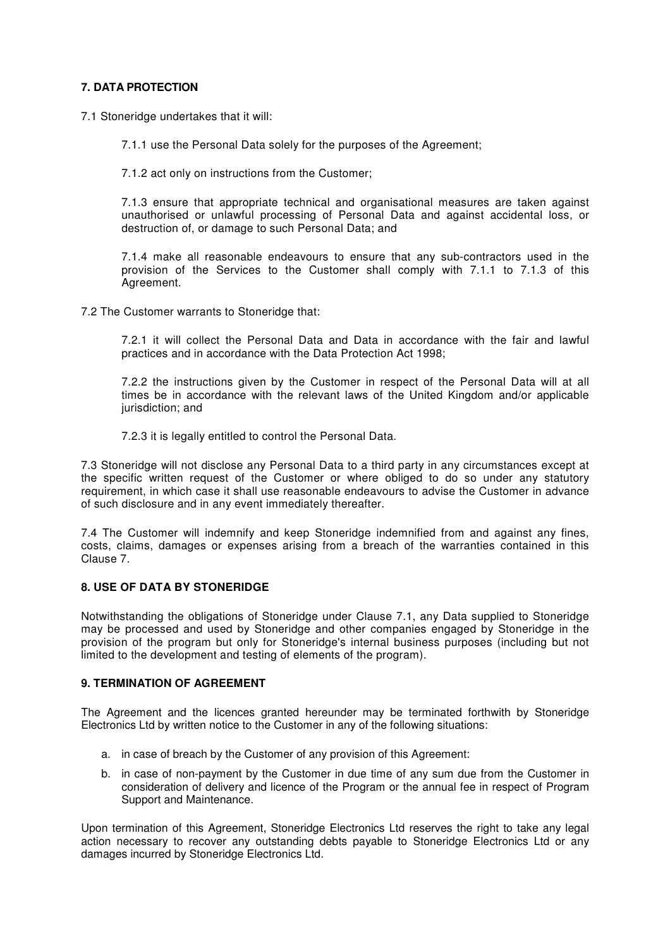## **7. DATA PROTECTION**

7.1 Stoneridge undertakes that it will:

7.1.1 use the Personal Data solely for the purposes of the Agreement;

7.1.2 act only on instructions from the Customer;

7.1.3 ensure that appropriate technical and organisational measures are taken against unauthorised or unlawful processing of Personal Data and against accidental loss, or destruction of, or damage to such Personal Data; and

7.1.4 make all reasonable endeavours to ensure that any sub-contractors used in the provision of the Services to the Customer shall comply with 7.1.1 to 7.1.3 of this Agreement.

7.2 The Customer warrants to Stoneridge that:

7.2.1 it will collect the Personal Data and Data in accordance with the fair and lawful practices and in accordance with the Data Protection Act 1998;

7.2.2 the instructions given by the Customer in respect of the Personal Data will at all times be in accordance with the relevant laws of the United Kingdom and/or applicable jurisdiction; and

7.2.3 it is legally entitled to control the Personal Data.

7.3 Stoneridge will not disclose any Personal Data to a third party in any circumstances except at the specific written request of the Customer or where obliged to do so under any statutory requirement, in which case it shall use reasonable endeavours to advise the Customer in advance of such disclosure and in any event immediately thereafter.

7.4 The Customer will indemnify and keep Stoneridge indemnified from and against any fines, costs, claims, damages or expenses arising from a breach of the warranties contained in this Clause 7.

## **8. USE OF DATA BY STONERIDGE**

Notwithstanding the obligations of Stoneridge under Clause 7.1, any Data supplied to Stoneridge may be processed and used by Stoneridge and other companies engaged by Stoneridge in the provision of the program but only for Stoneridge's internal business purposes (including but not limited to the development and testing of elements of the program).

## **9. TERMINATION OF AGREEMENT**

The Agreement and the licences granted hereunder may be terminated forthwith by Stoneridge Electronics Ltd by written notice to the Customer in any of the following situations:

- a. in case of breach by the Customer of any provision of this Agreement:
- b. in case of non-payment by the Customer in due time of any sum due from the Customer in consideration of delivery and licence of the Program or the annual fee in respect of Program Support and Maintenance.

Upon termination of this Agreement, Stoneridge Electronics Ltd reserves the right to take any legal action necessary to recover any outstanding debts payable to Stoneridge Electronics Ltd or any damages incurred by Stoneridge Electronics Ltd.